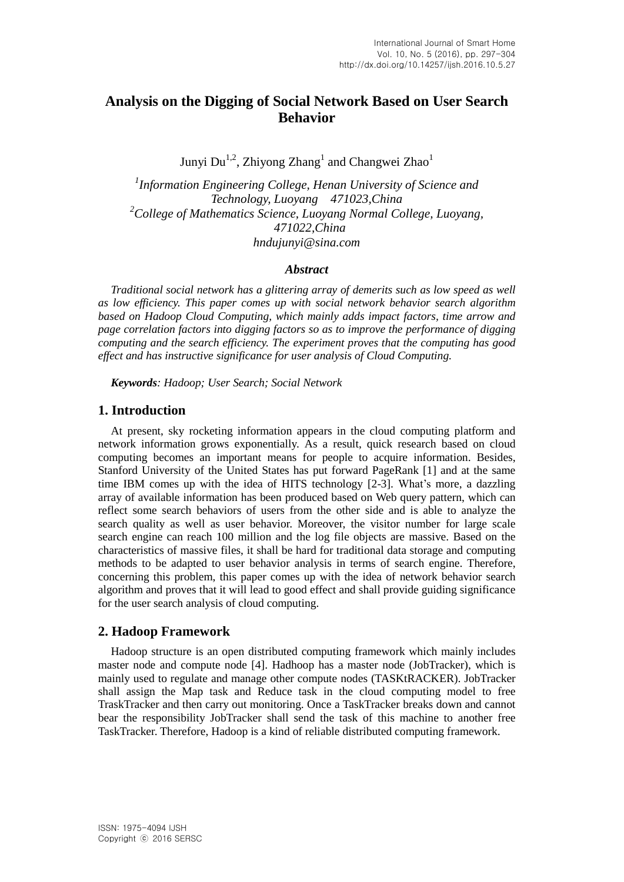# **Analysis on the Digging of Social Network Based on User Search Behavior**

Junyi Du<sup>1,2</sup>, Zhiyong Zhang<sup>1</sup> and Changwei Zhao<sup>1</sup>

*1 Information Engineering College, Henan University of Science and Technology, Luoyang 471023,China <sup>2</sup>College of Mathematics Science, Luoyang Normal College, Luoyang, 471022,China [hndujunyi@sina.com](mailto:hndujunyi@sina.com)*

### *Abstract*

*Traditional social network has a glittering array of demerits such as low speed as well as low efficiency. This paper comes up with social network behavior search algorithm based on Hadoop Cloud Computing, which mainly adds impact factors, time arrow and page correlation factors into digging factors so as to improve the performance of digging computing and the search efficiency. The experiment proves that the computing has good effect and has instructive significance for user analysis of Cloud Computing.*

*Keywords: Hadoop; User Search; Social Network*

### **1. Introduction**

At present, sky rocketing information appears in the cloud computing platform and network information grows exponentially. As a result, quick research based on cloud computing becomes an important means for people to acquire information. Besides, Stanford University of the United States has put forward PageRank [1] and at the same time IBM comes up with the idea of HITS technology [2-3]. What's more, a dazzling array of available information has been produced based on Web query pattern, which can reflect some search behaviors of users from the other side and is able to analyze the search quality as well as user behavior. Moreover, the visitor number for large scale search engine can reach 100 million and the log file objects are massive. Based on the characteristics of massive files, it shall be hard for traditional data storage and computing methods to be adapted to user behavior analysis in terms of search engine. Therefore, concerning this problem, this paper comes up with the idea of network behavior search algorithm and proves that it will lead to good effect and shall provide guiding significance for the user search analysis of cloud computing.

### **2. Hadoop Framework**

Hadoop structure is an open distributed computing framework which mainly includes master node and compute node [4]. Hadhoop has a master node (JobTracker), which is mainly used to regulate and manage other compute nodes (TASKtRACKER). JobTracker shall assign the Map task and Reduce task in the cloud computing model to free TraskTracker and then carry out monitoring. Once a TaskTracker breaks down and cannot bear the responsibility JobTracker shall send the task of this machine to another free TaskTracker. Therefore, Hadoop is a kind of reliable distributed computing framework.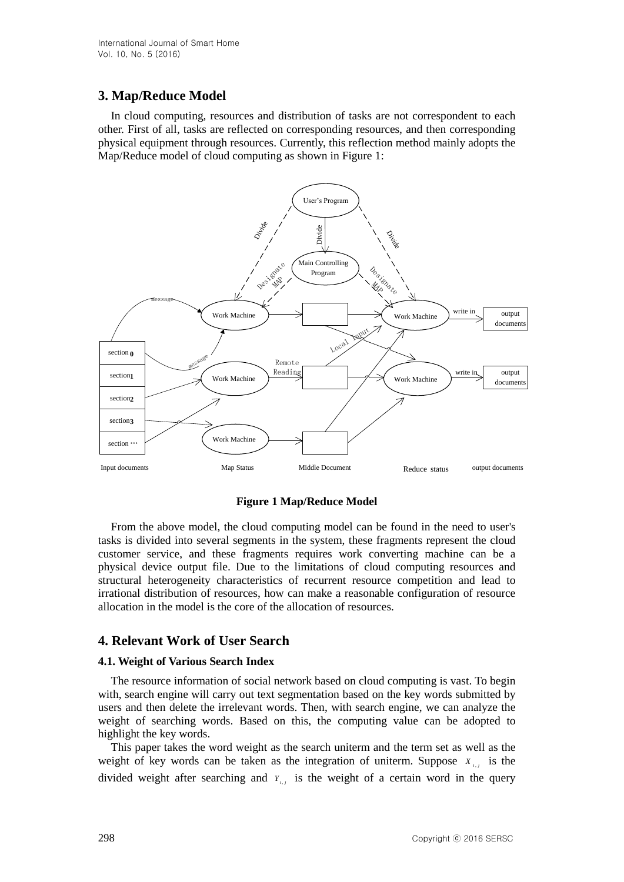# **3. Map/Reduce Model**

In cloud computing, resources and distribution of tasks are not correspondent to each other. First of all, tasks are reflected on corresponding resources, and then corresponding physical equipment through resources. Currently, this reflection method mainly adopts the Map/Reduce model of cloud computing as shown in Figure 1:



### **Figure 1 Map/Reduce Model**

From the above model, the cloud computing model can be found in the need to user's tasks is divided into several segments in the system, these fragments represent the cloud customer service, and these fragments requires work converting machine can be a physical device output file. Due to the limitations of cloud computing resources and structural heterogeneity characteristics of recurrent resource competition and lead to irrational distribution of resources, how can make a reasonable configuration of resource allocation in the model is the core of the allocation of resources.

## **4. Relevant Work of User Search**

### **4.1. Weight of Various Search Index**

The resource information of social network based on cloud computing is vast. To begin with, search engine will carry out text segmentation based on the key words submitted by users and then delete the irrelevant words. Then, with search engine, we can analyze the weight of searching words. Based on this, the computing value can be adopted to highlight the key words.

This paper takes the word weight as the search uniterm and the term set as well as the weight of key words can be taken as the integration of uniterm. Suppose  $X_{i,j}$  is the divided weight after searching and  $Y_{i,j}$  is the weight of a certain word in the query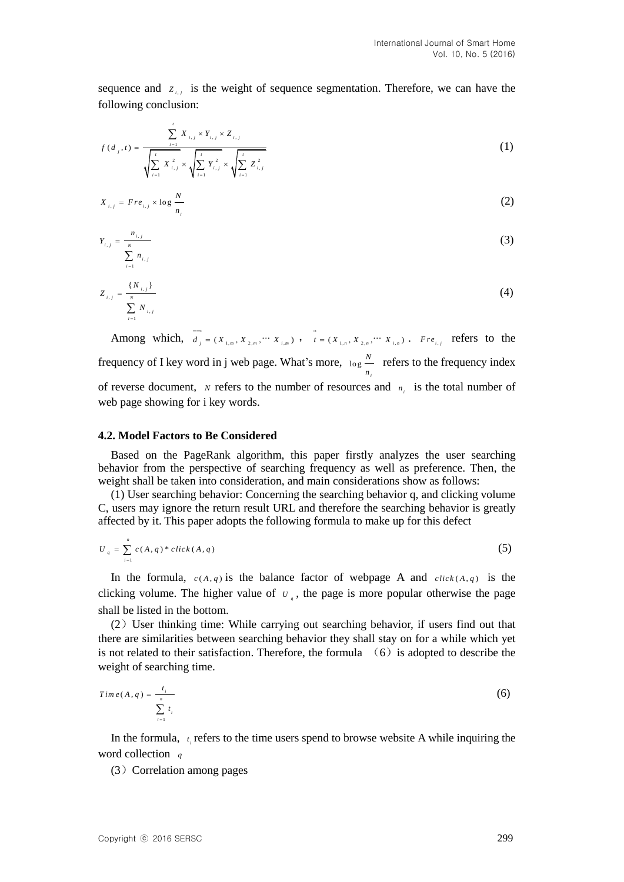sequence and  $Z_{i,j}$  is the weight of sequence segmentation. Therefore, we can have the following conclusion:

$$
f(d_j, t) = \frac{\sum_{i=1}^{t} X_{i,j} \times Y_{i,j} \times Z_{i,j}}{\sqrt{\sum_{i=1}^{t} X_{i,j}^2} \times \sqrt{\sum_{i=1}^{t} Y_{i,j}^2} \times \sqrt{\sum_{i=1}^{t} Z_{i,j}^2}}
$$
(1)

$$
X_{i,j} = Fre_{i,j} \times \log \frac{N}{n_i} \tag{2}
$$

$$
Y_{i,j} = \frac{n_{i,j}}{\sum_{i=1}^{N} n_{i,j}}
$$
 (3)

$$
Z_{i,j} = \frac{\{N_{i,j}\}}{\sum_{i=1}^{N} N_{i,j}}
$$
 (4)

Among which,  $d_j = (X_{1,m}, X_{2,m}, \dots, X_{i,m})$ ,  $t = (X_{1,n}, X_{2,n}, \dots, X_{i,n})$ . *Fre*<sub>*i,j*</sub> refers to the frequency of I key word in j web page. What's more,  $log \frac{N}{n}$ *i*  $\frac{N}{n_i}$  refers to the frequency index of reverse document, *N* refers to the number of resources and  $n_i$  is the total number of web page showing for i key words.

#### **4.2. Model Factors to Be Considered**

Based on the PageRank algorithm, this paper firstly analyzes the user searching behavior from the perspective of searching frequency as well as preference. Then, the weight shall be taken into consideration, and main considerations show as follows:

(1) User searching behavior: Concerning the searching behavior q, and clicking volume C, users may ignore the return result URL and therefore the searching behavior is greatly affected by it. This paper adopts the following formula to make up for this defect

$$
U_{q} = \sum_{i=1}^{n} c(A, q) * click(A, q)
$$
 (5)

In the formula,  $c(A,q)$  is the balance factor of webpage A and  $click(A,q)$  is the clicking volume. The higher value of  $U_{q}$ , the page is more popular otherwise the page shall be listed in the bottom.

(2)User thinking time: While carrying out searching behavior, if users find out that there are similarities between searching behavior they shall stay on for a while which yet is not related to their satisfaction. Therefore, the formula  $(6)$  is adopted to describe the weight of searching time.

$$
Time(A, q) = \frac{t_i}{\sum_{i=1}^{n} t_i}
$$
 (6)

In the formula,  $t_i$  refers to the time users spend to browse website A while inquiring the word collection *q*

(3) Correlation among pages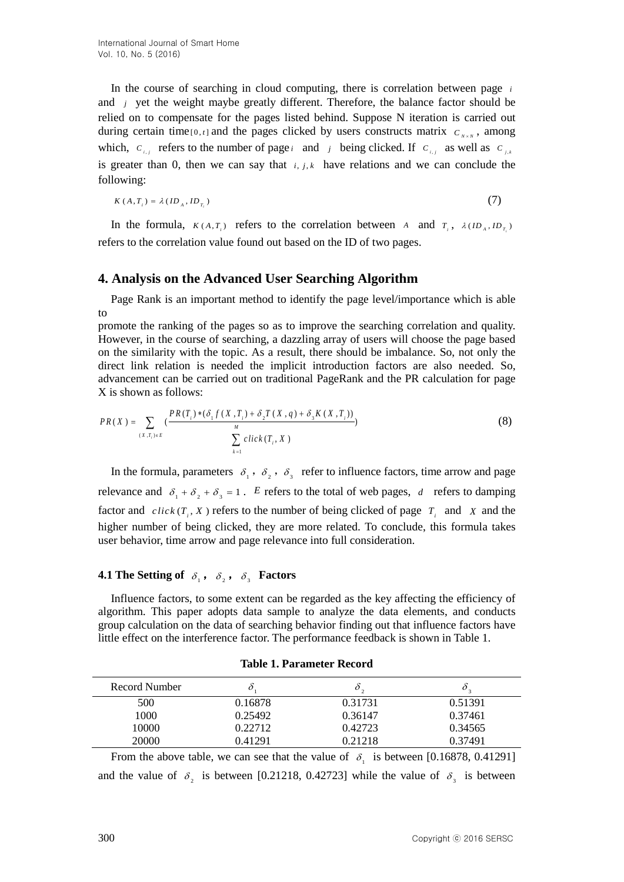In the course of searching in cloud computing, there is correlation between page *i* and *j* yet the weight maybe greatly different. Therefore, the balance factor should be relied on to compensate for the pages listed behind. Suppose N iteration is carried out during certain time<sub>[0,t]</sub> and the pages clicked by users constructs matrix  $C_{N \times N}$ , among which,  $c_{i,j}$  refers to the number of page *i* and *j* being clicked. If  $c_{i,j}$  as well as  $c_{j,i}$ is greater than 0, then we can say that  $i, j, k$  have relations and we can conclude the following:

$$
K(A, T_i) = \lambda (ID_A, ID_{T_i})
$$
\n<sup>(7)</sup>

In the formula,  $K(A, T_i)$  refers to the correlation between A and  $T_i$ ,  $\lambda (ID_A, ID_{T_i})$ refers to the correlation value found out based on the ID of two pages.

### **4. Analysis on the Advanced User Searching Algorithm**

Page Rank is an important method to identify the page level/importance which is able to

promote the ranking of the pages so as to improve the searching correlation and quality. However, in the course of searching, a dazzling array of users will choose the page based on the similarity with the topic. As a result, there should be imbalance. So, not only the direct link relation is needed the implicit introduction factors are also needed. So, advancement can be carried out on traditional PageRank and the PR calculation for page X is shown as follows:

X is shown as follows:  
\n
$$
PR(X) = \sum_{(X,T_i)\in E} \left( \frac{PR(T_i) * (\delta_1 f(X,T_i) + \delta_2 T(X,q) + \delta_3 K(X,T_i))}{\sum_{k=1}^M \text{click}(T_i, X)} \right)
$$
\n(8)

In the formula, parameters  $\delta_1$ ,  $\delta_2$ ,  $\delta_3$  refer to influence factors, time arrow and page relevance and  $\delta_1 + \delta_2 + \delta_3 = 1$ . *E* refers to the total of web pages, *d* refers to damping factor and  $click(T_i, X)$  refers to the number of being clicked of page  $T_i$  and X and the higher number of being clicked, they are more related. To conclude, this formula takes user behavior, time arrow and page relevance into full consideration.

## **4.1** The Setting of  $\delta_1$ ,  $\delta_2$ ,  $\delta_3$  Factors

Influence factors, to some extent can be regarded as the key affecting the efficiency of algorithm. This paper adopts data sample to analyze the data elements, and conducts group calculation on the data of searching behavior finding out that influence factors have little effect on the interference factor. The performance feedback is shown in Table 1.

| Record Number |         |         |         |
|---------------|---------|---------|---------|
| 500           | 0.16878 | 0.31731 | 0.51391 |
| 1000          | 0.25492 | 0.36147 | 0.37461 |
| 10000         | 0.22712 | 0.42723 | 0.34565 |
| 20000         | 0.41291 | 0.21218 | 0.37491 |

**Table 1. Parameter Record**

From the above table, we can see that the value of  $\delta_1$  is between [0.16878, 0.41291] and the value of  $\delta_2$  is between [0.21218, 0.42723] while the value of  $\delta_3$  is between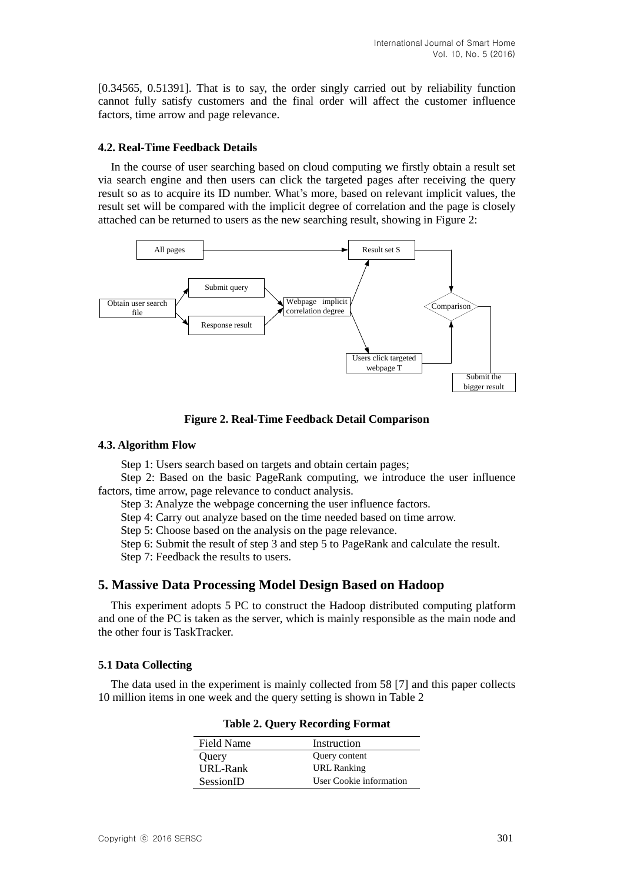[0.34565, 0.51391]. That is to say, the order singly carried out by reliability function cannot fully satisfy customers and the final order will affect the customer influence factors, time arrow and page relevance.

### **4.2. Real-Time Feedback Details**

In the course of user searching based on cloud computing we firstly obtain a result set via search engine and then users can click the targeted pages after receiving the query result so as to acquire its ID number. What's more, based on relevant implicit values, the result set will be compared with the implicit degree of correlation and the page is closely attached can be returned to users as the new searching result, showing in Figure 2:



**Figure 2. Real-Time Feedback Detail Comparison**

#### **4.3. Algorithm Flow**

Step 1: Users search based on targets and obtain certain pages;

Step 2: Based on the basic PageRank computing, we introduce the user influence factors, time arrow, page relevance to conduct analysis.

Step 3: Analyze the webpage concerning the user influence factors.

Step 4: Carry out analyze based on the time needed based on time arrow.

Step 5: Choose based on the analysis on the page relevance.

Step 6: Submit the result of step 3 and step 5 to PageRank and calculate the result.

Step 7: Feedback the results to users.

## **5. Massive Data Processing Model Design Based on Hadoop**

This experiment adopts 5 PC to construct the Hadoop distributed computing platform and one of the PC is taken as the server, which is mainly responsible as the main node and the other four is TaskTracker.

### **5.1 Data Collecting**

The data used in the experiment is mainly collected from 58 [7] and this paper collects 10 million items in one week and the query setting is shown in Table 2

| Field Name | Instruction             |
|------------|-------------------------|
| Query      | Query content           |
| URL-Rank   | URL Ranking             |
| SessionID  | User Cookie information |

**Table 2. Query Recording Format**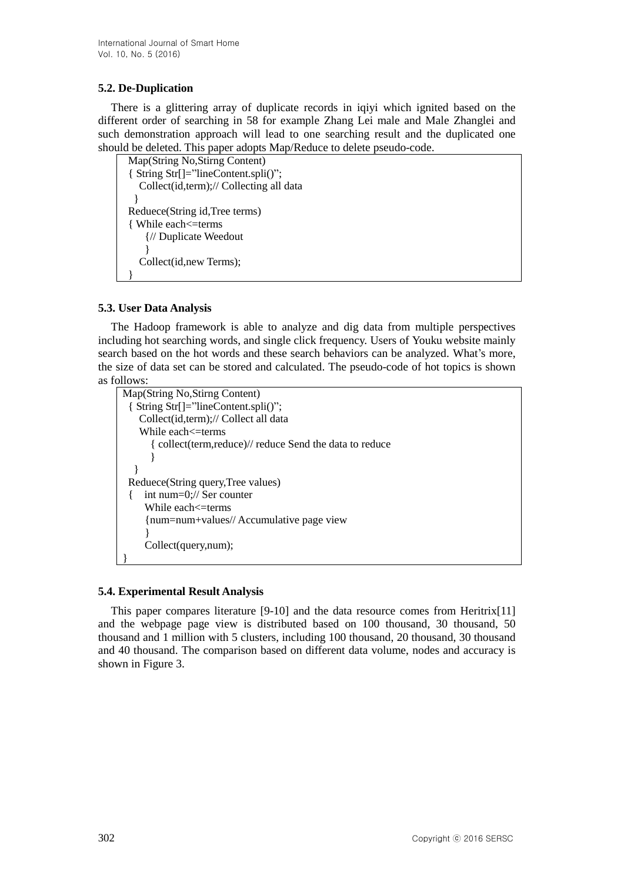## **5.2. De-Duplication**

There is a glittering array of duplicate records in iqiyi which ignited based on the different order of searching in 58 for example Zhang Lei male and Male Zhanglei and such demonstration approach will lead to one searching result and the duplicated one should be deleted. This paper adopts Map/Reduce to delete pseudo-code.

```
Map(String No,Stirng Content)
{ String Str[]="lineContent.spli()";
   Collect(id,term);// Collecting all data
 }
Reduece(String id,Tree terms)
{ While each<=terms
    {// Duplicate Weedout
 }
   Collect(id,new Terms);
}
```
## **5.3. User Data Analysis**

The Hadoop framework is able to analyze and dig data from multiple perspectives including hot searching words, and single click frequency. Users of Youku website mainly search based on the hot words and these search behaviors can be analyzed. What's more, the size of data set can be stored and calculated. The pseudo-code of hot topics is shown as follows:

```
Map(String No,Stirng Content)
 { String Str[]="lineContent.spli()";
    Collect(id,term);// Collect all data
   While each \leq terms
       { collect(term,reduce)// reduce Send the data to reduce
      }
  }
 Reduece(String query,Tree values)
 { int num=0;// Ser counter
    While each <= terms
      {num=num+values// Accumulative page view
  }
     Collect(query,num);
}
```
## **5.4. Experimental Result Analysis**

This paper compares literature [9-10] and the data resource comes from Heritrix[11] and the webpage page view is distributed based on 100 thousand, 30 thousand, 50 thousand and 1 million with 5 clusters, including 100 thousand, 20 thousand, 30 thousand and 40 thousand. The comparison based on different data volume, nodes and accuracy is shown in Figure 3.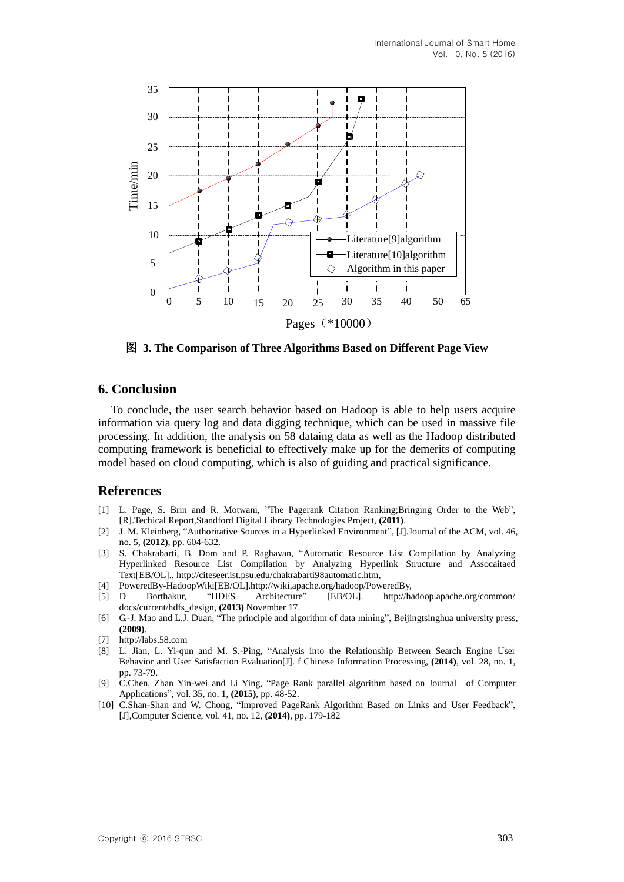

图 **3. The Comparison of Three Algorithms Based on Different Page View**

## **6. Conclusion**

To conclude, the user search behavior based on Hadoop is able to help users acquire information via query log and data digging technique, which can be used in massive file processing. In addition, the analysis on 58 dataing data as well as the Hadoop distributed computing framework is beneficial to effectively make up for the demerits of computing model based on cloud computing, which is also of guiding and practical significance.

## **References**

- [1] L. Page, S. Brin and R. Motwani, "The Pagerank Citation Ranking;Bringing Order to the Web", [R].Techical Report,Standford Digital Library Technologies Project, **(2011)**.
- [2] J. M. Kleinberg, "Authoritative Sources in a Hyperlinked Environment", [J].Journal of the ACM, vol. 46, no. 5, **(2012)**, pp. 604-632.
- [3] S. Chakrabarti, B. Dom and P. Raghavan, "Automatic Resource List Compilation by Analyzing Hyperlinked Resource List Compilation by Analyzing Hyperlink Structure and Assocaitaed Text[EB/OL]., [http://citeseer.ist.psu.edu/chakrabarti98automatic.htm,](http://citeseer.ist.psu.edu/chakrabarti98automatic.htm)
- [4] PoweredBy-HadoopWiki[EB/OL].http://wiki,apache.org/hadoop/PoweredBy,
- [5] D Borthakur, "HDFS Architecture" [EB/OL]. http://hadoop.apache.org/common/ docs/current/hdfs\_design, **(2013)** November 17.
- [6] G.-J. Mao and L.J. Duan, "The principle and algorithm of data mining", Beijingtsinghua university press, **(2009)**.
- [7] http://labs.58.com
- [8] L. Jian, L. Yi-qun and M. S.-Ping, "Analysis into the Relationship Between Search Engine User Behavior and User Satisfaction Evaluation[J]. f Chinese Information Processing, **(2014)**, vol. 28, no. 1, pp. 73-79.
- [9] C.Chen, Zhan Yin-wei and Li Ying, "Page Rank parallel algorithm based on Journal of Computer Applications", vol. 35, no. 1, **(2015)**, pp. 48-52.
- [10] C.Shan-Shan and W. Chong, "Improved PageRank Algorithm Based on Links and User Feedback", [J],Computer Science, vol. 41, no. 12, **(2014)**, pp. 179-182